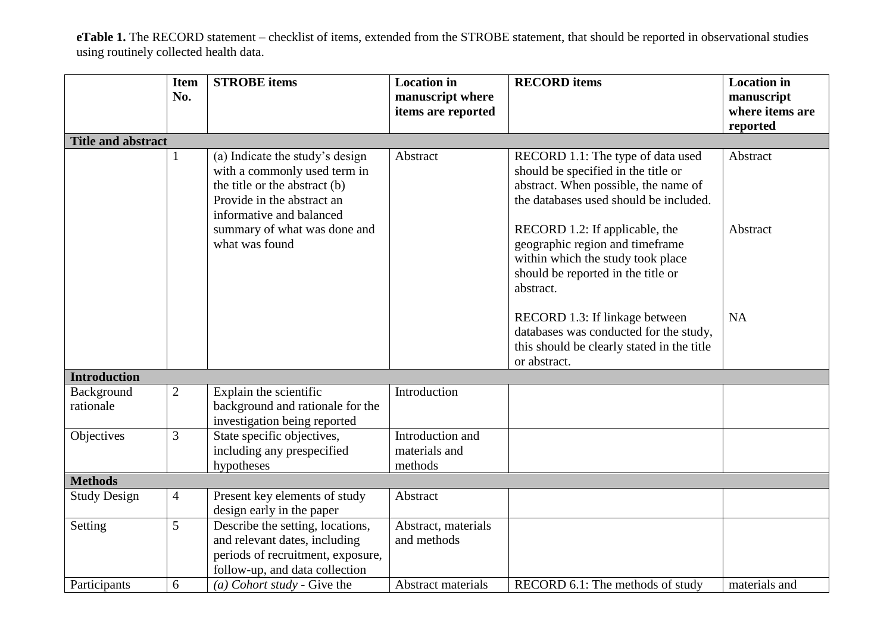**eTable 1.** The RECORD statement – checklist of items, extended from the STROBE statement, that should be reported in observational studies using routinely collected health data.

|                           | <b>Item</b><br>No. | <b>STROBE</b> items                                                                                                                                        | <b>Location</b> in<br>manuscript where<br>items are reported | <b>RECORD</b> items                                                                                                                                        | <b>Location</b> in<br>manuscript<br>where items are<br>reported |
|---------------------------|--------------------|------------------------------------------------------------------------------------------------------------------------------------------------------------|--------------------------------------------------------------|------------------------------------------------------------------------------------------------------------------------------------------------------------|-----------------------------------------------------------------|
| <b>Title and abstract</b> |                    |                                                                                                                                                            |                                                              |                                                                                                                                                            |                                                                 |
|                           |                    | (a) Indicate the study's design<br>with a commonly used term in<br>the title or the abstract (b)<br>Provide in the abstract an<br>informative and balanced | Abstract                                                     | RECORD 1.1: The type of data used<br>should be specified in the title or<br>abstract. When possible, the name of<br>the databases used should be included. | Abstract                                                        |
|                           |                    | summary of what was done and<br>what was found                                                                                                             |                                                              | RECORD 1.2: If applicable, the<br>geographic region and timeframe<br>within which the study took place<br>should be reported in the title or<br>abstract.  | Abstract                                                        |
|                           |                    |                                                                                                                                                            |                                                              | RECORD 1.3: If linkage between<br>databases was conducted for the study,<br>this should be clearly stated in the title<br>or abstract.                     | <b>NA</b>                                                       |
| <b>Introduction</b>       |                    |                                                                                                                                                            |                                                              |                                                                                                                                                            |                                                                 |
| Background<br>rationale   | $\mathfrak{2}$     | Explain the scientific<br>background and rationale for the<br>investigation being reported                                                                 | Introduction                                                 |                                                                                                                                                            |                                                                 |
| Objectives                | 3                  | State specific objectives,<br>including any prespecified<br>hypotheses                                                                                     | Introduction and<br>materials and<br>methods                 |                                                                                                                                                            |                                                                 |
| <b>Methods</b>            |                    |                                                                                                                                                            |                                                              |                                                                                                                                                            |                                                                 |
| <b>Study Design</b>       | 4                  | Present key elements of study<br>design early in the paper                                                                                                 | Abstract                                                     |                                                                                                                                                            |                                                                 |
| Setting                   | 5                  | Describe the setting, locations,<br>and relevant dates, including<br>periods of recruitment, exposure,<br>follow-up, and data collection                   | Abstract, materials<br>and methods                           |                                                                                                                                                            |                                                                 |
| Participants              | 6                  | (a) Cohort study - Give the                                                                                                                                | Abstract materials                                           | RECORD 6.1: The methods of study                                                                                                                           | materials and                                                   |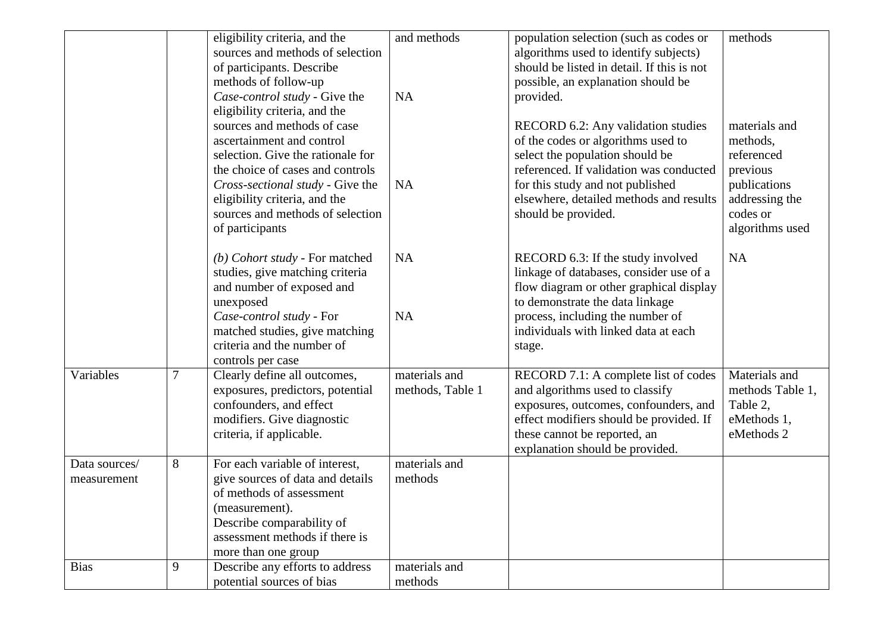|                              |   | eligibility criteria, and the<br>sources and methods of selection                                                                                                                                                                                                                              | and methods                       | population selection (such as codes or<br>algorithms used to identify subjects)                                                                                                                                                                              | methods                                                                                                              |
|------------------------------|---|------------------------------------------------------------------------------------------------------------------------------------------------------------------------------------------------------------------------------------------------------------------------------------------------|-----------------------------------|--------------------------------------------------------------------------------------------------------------------------------------------------------------------------------------------------------------------------------------------------------------|----------------------------------------------------------------------------------------------------------------------|
|                              |   | of participants. Describe<br>methods of follow-up<br>Case-control study - Give the                                                                                                                                                                                                             | <b>NA</b>                         | should be listed in detail. If this is not<br>possible, an explanation should be<br>provided.                                                                                                                                                                |                                                                                                                      |
|                              |   | eligibility criteria, and the<br>sources and methods of case<br>ascertainment and control<br>selection. Give the rationale for<br>the choice of cases and controls<br>Cross-sectional study - Give the<br>eligibility criteria, and the<br>sources and methods of selection<br>of participants | <b>NA</b>                         | RECORD 6.2: Any validation studies<br>of the codes or algorithms used to<br>select the population should be<br>referenced. If validation was conducted<br>for this study and not published<br>elsewhere, detailed methods and results<br>should be provided. | materials and<br>methods,<br>referenced<br>previous<br>publications<br>addressing the<br>codes or<br>algorithms used |
|                              |   | (b) Cohort study - For matched<br>studies, give matching criteria<br>and number of exposed and<br>unexposed<br>Case-control study - For<br>matched studies, give matching<br>criteria and the number of<br>controls per case                                                                   | <b>NA</b><br><b>NA</b>            | RECORD 6.3: If the study involved<br>linkage of databases, consider use of a<br>flow diagram or other graphical display<br>to demonstrate the data linkage<br>process, including the number of<br>individuals with linked data at each<br>stage.             | <b>NA</b>                                                                                                            |
| Variables                    | 7 | Clearly define all outcomes,<br>exposures, predictors, potential<br>confounders, and effect<br>modifiers. Give diagnostic<br>criteria, if applicable.                                                                                                                                          | materials and<br>methods, Table 1 | RECORD 7.1: A complete list of codes<br>and algorithms used to classify<br>exposures, outcomes, confounders, and<br>effect modifiers should be provided. If<br>these cannot be reported, an<br>explanation should be provided.                               | Materials and<br>methods Table 1,<br>Table 2,<br>eMethods 1,<br>eMethods 2                                           |
| Data sources/<br>measurement | 8 | For each variable of interest,<br>give sources of data and details<br>of methods of assessment<br>(measurement).<br>Describe comparability of<br>assessment methods if there is<br>more than one group                                                                                         | materials and<br>methods          |                                                                                                                                                                                                                                                              |                                                                                                                      |
| <b>Bias</b>                  | 9 | Describe any efforts to address<br>potential sources of bias                                                                                                                                                                                                                                   | materials and<br>methods          |                                                                                                                                                                                                                                                              |                                                                                                                      |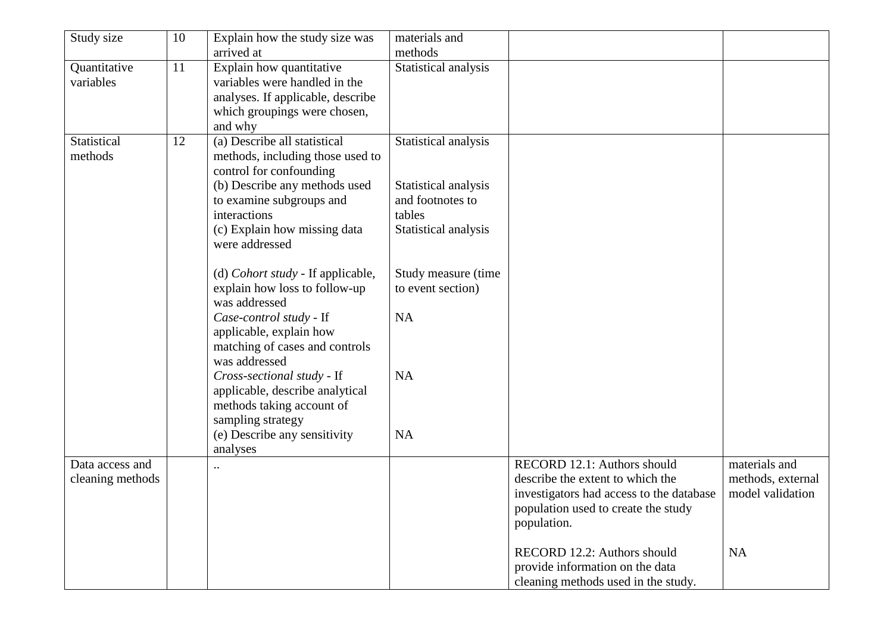| Study size       | 10 | Explain how the study size was                               | materials and        |                                                                        |                   |
|------------------|----|--------------------------------------------------------------|----------------------|------------------------------------------------------------------------|-------------------|
|                  |    | arrived at                                                   | methods              |                                                                        |                   |
| Quantitative     | 11 | Explain how quantitative                                     | Statistical analysis |                                                                        |                   |
| variables        |    | variables were handled in the                                |                      |                                                                        |                   |
|                  |    | analyses. If applicable, describe                            |                      |                                                                        |                   |
|                  |    | which groupings were chosen,                                 |                      |                                                                        |                   |
|                  |    | and why                                                      |                      |                                                                        |                   |
| Statistical      | 12 | (a) Describe all statistical                                 | Statistical analysis |                                                                        |                   |
| methods          |    | methods, including those used to<br>control for confounding  |                      |                                                                        |                   |
|                  |    | (b) Describe any methods used                                | Statistical analysis |                                                                        |                   |
|                  |    | to examine subgroups and                                     | and footnotes to     |                                                                        |                   |
|                  |    | interactions                                                 | tables               |                                                                        |                   |
|                  |    | (c) Explain how missing data                                 | Statistical analysis |                                                                        |                   |
|                  |    | were addressed                                               |                      |                                                                        |                   |
|                  |    |                                                              |                      |                                                                        |                   |
|                  |    | (d) Cohort study - If applicable,                            | Study measure (time  |                                                                        |                   |
|                  |    | explain how loss to follow-up                                | to event section)    |                                                                        |                   |
|                  |    | was addressed                                                |                      |                                                                        |                   |
|                  |    | Case-control study - If                                      | NA                   |                                                                        |                   |
|                  |    | applicable, explain how                                      |                      |                                                                        |                   |
|                  |    | matching of cases and controls                               |                      |                                                                        |                   |
|                  |    | was addressed                                                | <b>NA</b>            |                                                                        |                   |
|                  |    | Cross-sectional study - If                                   |                      |                                                                        |                   |
|                  |    | applicable, describe analytical<br>methods taking account of |                      |                                                                        |                   |
|                  |    | sampling strategy                                            |                      |                                                                        |                   |
|                  |    | (e) Describe any sensitivity                                 | <b>NA</b>            |                                                                        |                   |
|                  |    | analyses                                                     |                      |                                                                        |                   |
| Data access and  |    |                                                              |                      | RECORD 12.1: Authors should                                            | materials and     |
| cleaning methods |    |                                                              |                      | describe the extent to which the                                       | methods, external |
|                  |    |                                                              |                      | investigators had access to the database                               | model validation  |
|                  |    |                                                              |                      | population used to create the study                                    |                   |
|                  |    |                                                              |                      | population.                                                            |                   |
|                  |    |                                                              |                      |                                                                        |                   |
|                  |    |                                                              |                      | RECORD 12.2: Authors should                                            | NA                |
|                  |    |                                                              |                      | provide information on the data<br>cleaning methods used in the study. |                   |
|                  |    |                                                              |                      |                                                                        |                   |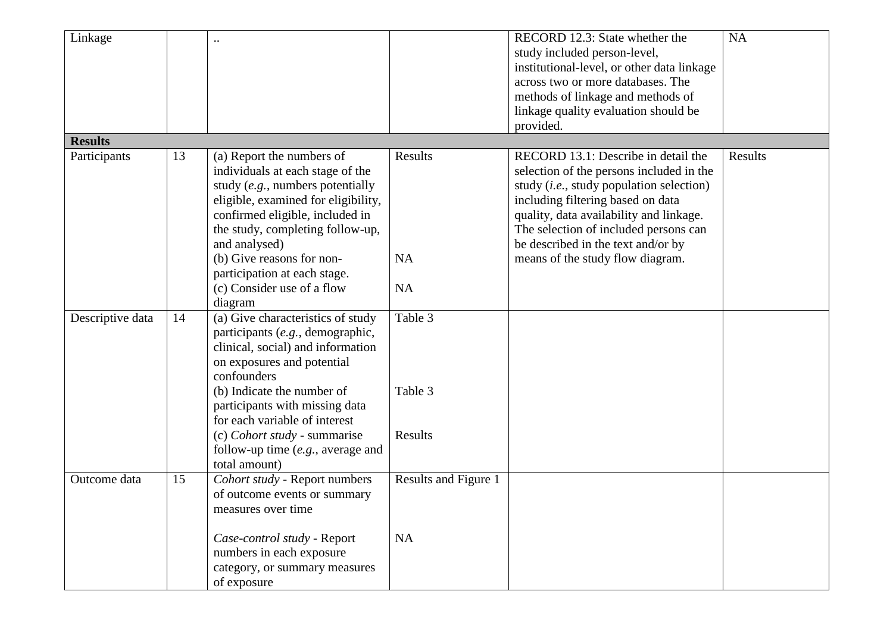| Linkage          |    |                                                                                                                                                                                                                                                                                                                                                                      |                                   | RECORD 12.3: State whether the<br>study included person-level,<br>institutional-level, or other data linkage<br>across two or more databases. The<br>methods of linkage and methods of<br>linkage quality evaluation should be                                                                                                          | <b>NA</b> |
|------------------|----|----------------------------------------------------------------------------------------------------------------------------------------------------------------------------------------------------------------------------------------------------------------------------------------------------------------------------------------------------------------------|-----------------------------------|-----------------------------------------------------------------------------------------------------------------------------------------------------------------------------------------------------------------------------------------------------------------------------------------------------------------------------------------|-----------|
|                  |    |                                                                                                                                                                                                                                                                                                                                                                      |                                   | provided.                                                                                                                                                                                                                                                                                                                               |           |
| <b>Results</b>   |    |                                                                                                                                                                                                                                                                                                                                                                      |                                   |                                                                                                                                                                                                                                                                                                                                         |           |
| Participants     | 13 | (a) Report the numbers of<br>individuals at each stage of the<br>study (e.g., numbers potentially<br>eligible, examined for eligibility,<br>confirmed eligible, included in<br>the study, completing follow-up,<br>and analysed)<br>(b) Give reasons for non-<br>participation at each stage.<br>(c) Consider use of a flow                                          | Results<br><b>NA</b><br><b>NA</b> | RECORD 13.1: Describe in detail the<br>selection of the persons included in the<br>study ( <i>i.e.</i> , study population selection)<br>including filtering based on data<br>quality, data availability and linkage.<br>The selection of included persons can<br>be described in the text and/or by<br>means of the study flow diagram. | Results   |
| Descriptive data | 14 | diagram<br>(a) Give characteristics of study<br>participants (e.g., demographic,<br>clinical, social) and information<br>on exposures and potential<br>confounders<br>(b) Indicate the number of<br>participants with missing data<br>for each variable of interest<br>(c) Cohort study - summarise<br>follow-up time $(e.g., \text{ average and})$<br>total amount) | Table 3<br>Table 3<br>Results     |                                                                                                                                                                                                                                                                                                                                         |           |
| Outcome data     | 15 | Cohort study - Report numbers<br>of outcome events or summary<br>measures over time<br>Case-control study - Report<br>numbers in each exposure<br>category, or summary measures<br>of exposure                                                                                                                                                                       | Results and Figure 1<br>NA        |                                                                                                                                                                                                                                                                                                                                         |           |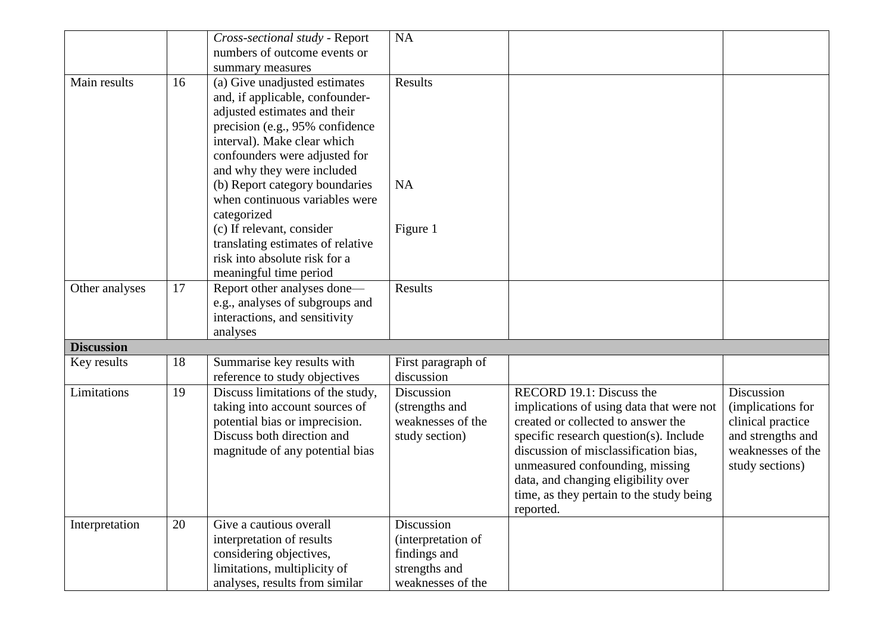|                   |    | Cross-sectional study - Report    | NA                 |                                          |                   |
|-------------------|----|-----------------------------------|--------------------|------------------------------------------|-------------------|
|                   |    | numbers of outcome events or      |                    |                                          |                   |
|                   |    | summary measures                  |                    |                                          |                   |
| Main results      | 16 | (a) Give unadjusted estimates     | Results            |                                          |                   |
|                   |    | and, if applicable, confounder-   |                    |                                          |                   |
|                   |    | adjusted estimates and their      |                    |                                          |                   |
|                   |    | precision (e.g., 95% confidence   |                    |                                          |                   |
|                   |    | interval). Make clear which       |                    |                                          |                   |
|                   |    | confounders were adjusted for     |                    |                                          |                   |
|                   |    | and why they were included        |                    |                                          |                   |
|                   |    | (b) Report category boundaries    | <b>NA</b>          |                                          |                   |
|                   |    | when continuous variables were    |                    |                                          |                   |
|                   |    | categorized                       |                    |                                          |                   |
|                   |    | (c) If relevant, consider         | Figure 1           |                                          |                   |
|                   |    | translating estimates of relative |                    |                                          |                   |
|                   |    | risk into absolute risk for a     |                    |                                          |                   |
|                   |    | meaningful time period            |                    |                                          |                   |
| Other analyses    | 17 | Report other analyses done-       | Results            |                                          |                   |
|                   |    | e.g., analyses of subgroups and   |                    |                                          |                   |
|                   |    | interactions, and sensitivity     |                    |                                          |                   |
|                   |    | analyses                          |                    |                                          |                   |
| <b>Discussion</b> |    |                                   |                    |                                          |                   |
| Key results       | 18 | Summarise key results with        | First paragraph of |                                          |                   |
|                   |    | reference to study objectives     | discussion         |                                          |                   |
| Limitations       | 19 | Discuss limitations of the study, | Discussion         | RECORD 19.1: Discuss the                 | Discussion        |
|                   |    | taking into account sources of    | (strengths and     | implications of using data that were not | (implications for |
|                   |    | potential bias or imprecision.    | weaknesses of the  | created or collected to answer the       | clinical practice |
|                   |    | Discuss both direction and        | study section)     | specific research question(s). Include   | and strengths and |
|                   |    | magnitude of any potential bias   |                    | discussion of misclassification bias,    | weaknesses of the |
|                   |    |                                   |                    | unmeasured confounding, missing          | study sections)   |
|                   |    |                                   |                    | data, and changing eligibility over      |                   |
|                   |    |                                   |                    | time, as they pertain to the study being |                   |
|                   |    |                                   |                    | reported.                                |                   |
| Interpretation    | 20 | Give a cautious overall           | Discussion         |                                          |                   |
|                   |    | interpretation of results         | (interpretation of |                                          |                   |
|                   |    | considering objectives,           | findings and       |                                          |                   |
|                   |    | limitations, multiplicity of      | strengths and      |                                          |                   |
|                   |    | analyses, results from similar    | weaknesses of the  |                                          |                   |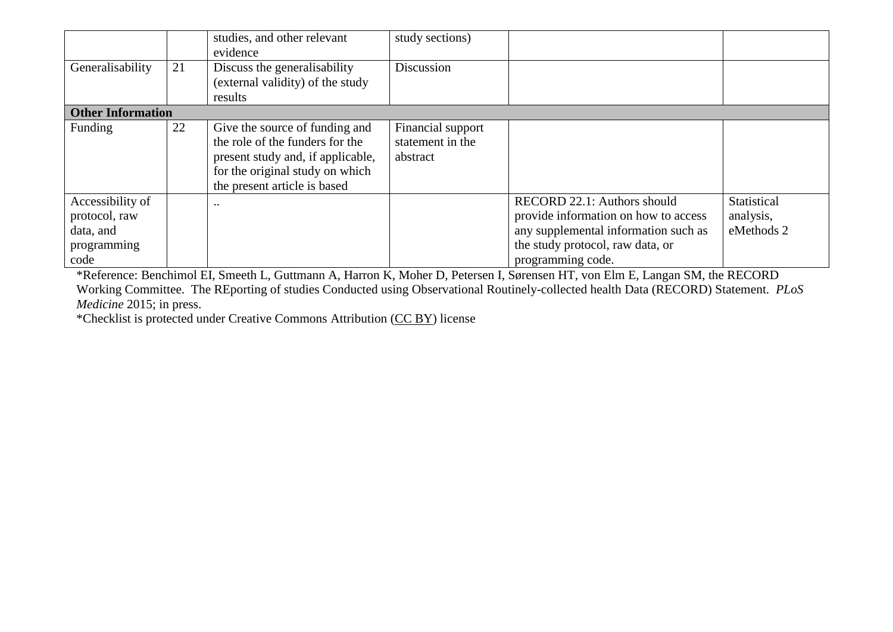|                                                                       |    | studies, and other relevant<br>evidence                                                                                                                                   | study sections)                                   |                                                                                                                                                                      |                                        |
|-----------------------------------------------------------------------|----|---------------------------------------------------------------------------------------------------------------------------------------------------------------------------|---------------------------------------------------|----------------------------------------------------------------------------------------------------------------------------------------------------------------------|----------------------------------------|
| Generalisability                                                      | 21 | Discuss the generalisability<br>(external validity) of the study<br>results                                                                                               | Discussion                                        |                                                                                                                                                                      |                                        |
| <b>Other Information</b>                                              |    |                                                                                                                                                                           |                                                   |                                                                                                                                                                      |                                        |
| Funding                                                               | 22 | Give the source of funding and<br>the role of the funders for the<br>present study and, if applicable,<br>for the original study on which<br>the present article is based | Financial support<br>statement in the<br>abstract |                                                                                                                                                                      |                                        |
| Accessibility of<br>protocol, raw<br>data, and<br>programming<br>code |    |                                                                                                                                                                           |                                                   | RECORD 22.1: Authors should<br>provide information on how to access<br>any supplemental information such as<br>the study protocol, raw data, or<br>programming code. | Statistical<br>analysis,<br>eMethods 2 |

\*Reference: Benchimol EI, Smeeth L, Guttmann A, Harron K, Moher D, Petersen I, Sørensen HT, von Elm E, Langan SM, the RECORD Working Committee. The REporting of studies Conducted using Observational Routinely-collected health Data (RECORD) Statement. *PLoS Medicine* 2015; in press.

\*Checklist is protected under Creative Commons Attribution [\(CC BY\)](http://creativecommons.org/licenses/by/4.0/) license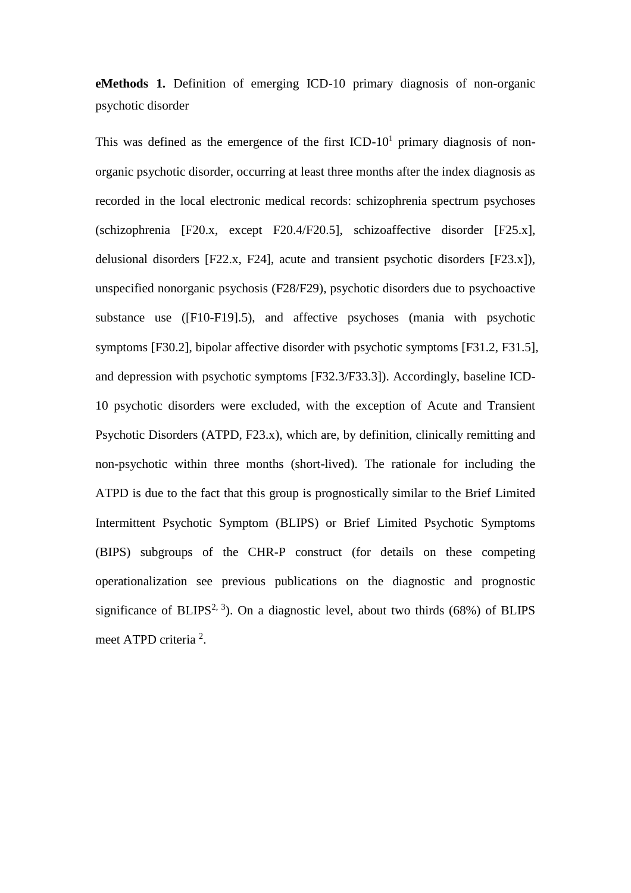**eMethods 1.** Definition of emerging ICD-10 primary diagnosis of non-organic psychotic disorder

This was defined as the emergence of the first  $\text{ICD-10}^1$  primary diagnosis of nonorganic psychotic disorder, occurring at least three months after the index diagnosis as recorded in the local electronic medical records: schizophrenia spectrum psychoses (schizophrenia [F20.x, except F20.4/F20.5], schizoaffective disorder [F25.x], delusional disorders [F22.x, F24], acute and transient psychotic disorders [F23.x]), unspecified nonorganic psychosis (F28/F29), psychotic disorders due to psychoactive substance use ([F10-F19].5), and affective psychoses (mania with psychotic symptoms [F30.2], bipolar affective disorder with psychotic symptoms [F31.2, F31.5], and depression with psychotic symptoms [F32.3/F33.3]). Accordingly, baseline ICD-10 psychotic disorders were excluded, with the exception of Acute and Transient Psychotic Disorders (ATPD, F23.x), which are, by definition, clinically remitting and non-psychotic within three months (short-lived). The rationale for including the ATPD is due to the fact that this group is prognostically similar to the Brief Limited Intermittent Psychotic Symptom (BLIPS) or Brief Limited Psychotic Symptoms (BIPS) subgroups of the CHR-P construct (for details on these competing operationalization see previous publications on the diagnostic and prognostic significance of BLIPS<sup>2, 3</sup>). On a diagnostic level, about two thirds (68%) of BLIPS meet ATPD criteria<sup>2</sup>.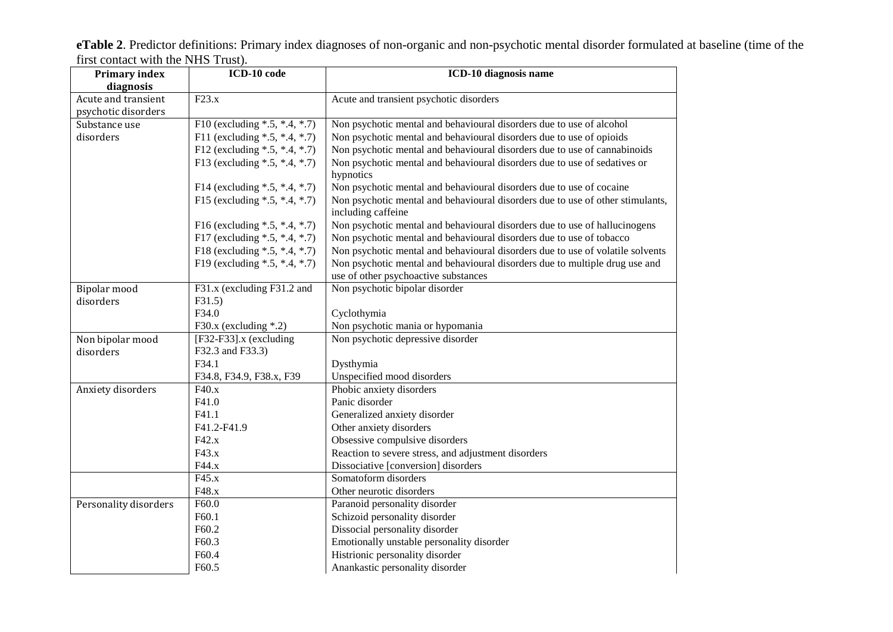**eTable 2**. Predictor definitions: Primary index diagnoses of non-organic and non-psychotic mental disorder formulated at baseline (time of the first contact with the NHS Trust).

| <b>Primary index</b><br>diagnosis          | ICD-10 code                         | ICD-10 diagnosis name                                                                                |  |  |
|--------------------------------------------|-------------------------------------|------------------------------------------------------------------------------------------------------|--|--|
| Acute and transient<br>psychotic disorders | F23.x                               | Acute and transient psychotic disorders                                                              |  |  |
| Substance use                              | F10 (excluding $* .5, * .4, * .7$ ) | Non psychotic mental and behavioural disorders due to use of alcohol                                 |  |  |
| disorders                                  | F11 (excluding $*.5, -.4, -.7)$     | Non psychotic mental and behavioural disorders due to use of opioids                                 |  |  |
|                                            | F12 (excluding $* .5, * .4, * .7$ ) | Non psychotic mental and behavioural disorders due to use of cannabinoids                            |  |  |
|                                            | F13 (excluding $*.5,*.4,*.7$ )      | Non psychotic mental and behavioural disorders due to use of sedatives or                            |  |  |
|                                            |                                     | hypnotics                                                                                            |  |  |
|                                            | F14 (excluding *.5, *.4, *.7)       | Non psychotic mental and behavioural disorders due to use of cocaine                                 |  |  |
|                                            | F15 (excluding $* .5, * .4, * .7$ ) | Non psychotic mental and behavioural disorders due to use of other stimulants,<br>including caffeine |  |  |
|                                            | F16 (excluding $*.5,*.4,*.7)$       | Non psychotic mental and behavioural disorders due to use of hallucinogens                           |  |  |
|                                            | F17 (excluding $* .5, * .4, * .7$ ) | Non psychotic mental and behavioural disorders due to use of tobacco                                 |  |  |
|                                            | F18 (excluding *.5, *.4, *.7)       | Non psychotic mental and behavioural disorders due to use of volatile solvents                       |  |  |
|                                            | F19 (excluding *.5, *.4, *.7)       | Non psychotic mental and behavioural disorders due to multiple drug use and                          |  |  |
|                                            |                                     | use of other psychoactive substances                                                                 |  |  |
| Bipolar mood                               | F31.x (excluding F31.2 and          | Non psychotic bipolar disorder                                                                       |  |  |
| disorders                                  | F31.5                               |                                                                                                      |  |  |
|                                            | F34.0                               | Cyclothymia                                                                                          |  |  |
|                                            | F30.x (excluding $*$ .2)            | Non psychotic mania or hypomania                                                                     |  |  |
| Non bipolar mood                           | $[F32-F33]$ .x (excluding           | Non psychotic depressive disorder                                                                    |  |  |
| disorders                                  | F32.3 and F33.3)                    |                                                                                                      |  |  |
|                                            | F34.1                               | Dysthymia                                                                                            |  |  |
|                                            | F34.8, F34.9, F38.x, F39            | Unspecified mood disorders                                                                           |  |  |
| Anxiety disorders                          | F40.x                               | Phobic anxiety disorders                                                                             |  |  |
|                                            | F41.0                               | Panic disorder                                                                                       |  |  |
|                                            | F41.1                               | Generalized anxiety disorder                                                                         |  |  |
|                                            | F41.2-F41.9                         | Other anxiety disorders                                                                              |  |  |
|                                            | F42.x                               | Obsessive compulsive disorders                                                                       |  |  |
|                                            | F43.x                               | Reaction to severe stress, and adjustment disorders                                                  |  |  |
|                                            | F44.x                               | Dissociative [conversion] disorders                                                                  |  |  |
|                                            | F45.x                               | Somatoform disorders                                                                                 |  |  |
|                                            | F48.x                               | Other neurotic disorders                                                                             |  |  |
| Personality disorders                      | F60.0                               | Paranoid personality disorder                                                                        |  |  |
|                                            | F60.1                               | Schizoid personality disorder                                                                        |  |  |
|                                            | F60.2                               | Dissocial personality disorder                                                                       |  |  |
|                                            | F60.3                               | Emotionally unstable personality disorder                                                            |  |  |
|                                            | F60.4                               | Histrionic personality disorder                                                                      |  |  |
|                                            | F60.5                               | Anankastic personality disorder                                                                      |  |  |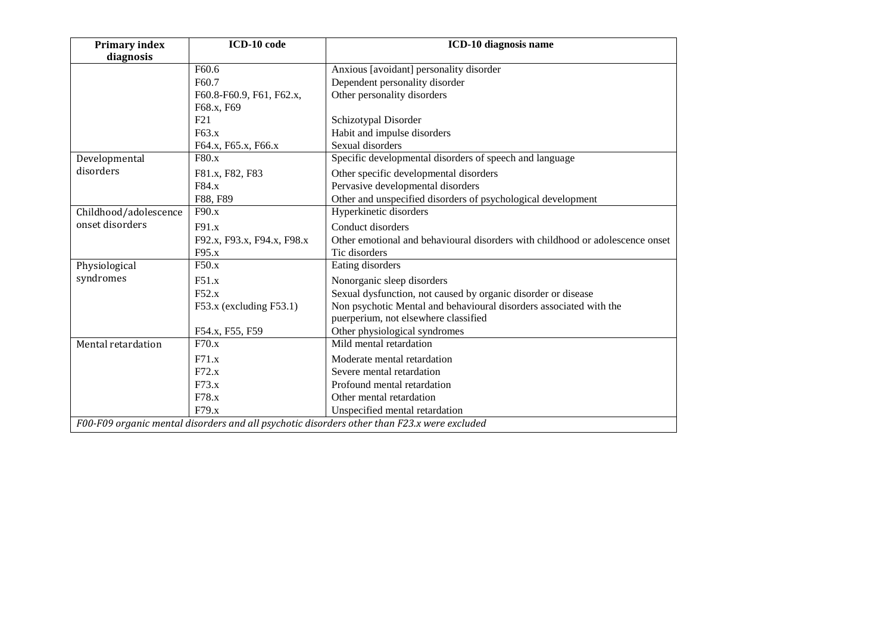| <b>Primary index</b>  | ICD-10 code                                                                                 | ICD-10 diagnosis name                                                         |  |  |  |  |
|-----------------------|---------------------------------------------------------------------------------------------|-------------------------------------------------------------------------------|--|--|--|--|
| diagnosis             |                                                                                             |                                                                               |  |  |  |  |
|                       | F <sub>60.6</sub>                                                                           | Anxious [avoidant] personality disorder                                       |  |  |  |  |
|                       | F60.7                                                                                       | Dependent personality disorder                                                |  |  |  |  |
|                       | F60.8-F60.9, F61, F62.x,                                                                    | Other personality disorders                                                   |  |  |  |  |
|                       | F68.x, F69                                                                                  |                                                                               |  |  |  |  |
|                       | F21                                                                                         | Schizotypal Disorder                                                          |  |  |  |  |
|                       | F63.x                                                                                       | Habit and impulse disorders                                                   |  |  |  |  |
|                       | F64.x, F65.x, F66.x                                                                         | Sexual disorders                                                              |  |  |  |  |
| Developmental         | F80.x                                                                                       | Specific developmental disorders of speech and language                       |  |  |  |  |
| disorders             | F81.x, F82, F83                                                                             | Other specific developmental disorders                                        |  |  |  |  |
|                       | F84.x                                                                                       | Pervasive developmental disorders                                             |  |  |  |  |
|                       | F88, F89                                                                                    | Other and unspecified disorders of psychological development                  |  |  |  |  |
| Childhood/adolescence | F90.x                                                                                       | Hyperkinetic disorders                                                        |  |  |  |  |
| onset disorders       | F91.x                                                                                       | Conduct disorders                                                             |  |  |  |  |
|                       | F92.x, F93.x, F94.x, F98.x                                                                  | Other emotional and behavioural disorders with childhood or adolescence onset |  |  |  |  |
|                       | F95.x                                                                                       | Tic disorders                                                                 |  |  |  |  |
| Physiological         | F50.x                                                                                       | Eating disorders                                                              |  |  |  |  |
| syndromes             | F51.x                                                                                       | Nonorganic sleep disorders                                                    |  |  |  |  |
|                       | F52.x                                                                                       | Sexual dysfunction, not caused by organic disorder or disease                 |  |  |  |  |
|                       | $F53.x$ (excluding $F53.1$ )                                                                | Non psychotic Mental and behavioural disorders associated with the            |  |  |  |  |
|                       |                                                                                             | puerperium, not elsewhere classified                                          |  |  |  |  |
|                       | F54.x, F55, F59                                                                             | Other physiological syndromes                                                 |  |  |  |  |
| Mental retardation    | F70.x                                                                                       | Mild mental retardation                                                       |  |  |  |  |
|                       | F71.x                                                                                       | Moderate mental retardation                                                   |  |  |  |  |
|                       | F72.x                                                                                       | Severe mental retardation                                                     |  |  |  |  |
|                       | F73.x                                                                                       | Profound mental retardation                                                   |  |  |  |  |
|                       | F78.x                                                                                       | Other mental retardation                                                      |  |  |  |  |
|                       | F79.x                                                                                       | Unspecified mental retardation                                                |  |  |  |  |
|                       | F00-F09 organic mental disorders and all psychotic disorders other than F23.x were excluded |                                                                               |  |  |  |  |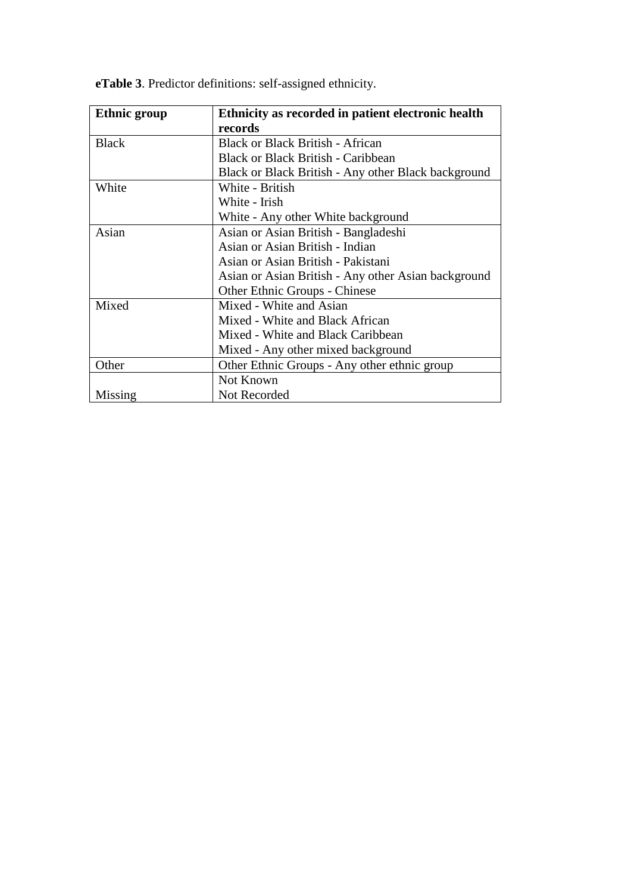| <b>Ethnic group</b> | Ethnicity as recorded in patient electronic health  |
|---------------------|-----------------------------------------------------|
|                     | records                                             |
| <b>Black</b>        | <b>Black or Black British - African</b>             |
|                     | <b>Black or Black British - Caribbean</b>           |
|                     | Black or Black British - Any other Black background |
| White               | White - British                                     |
|                     | White - Irish                                       |
|                     | White - Any other White background                  |
| Asian               | Asian or Asian British - Bangladeshi                |
|                     | Asian or Asian British - Indian                     |
|                     | Asian or Asian British - Pakistani                  |
|                     | Asian or Asian British - Any other Asian background |
|                     | Other Ethnic Groups - Chinese                       |
| Mixed               | Mixed - White and Asian                             |
|                     | Mixed - White and Black African                     |
|                     | Mixed - White and Black Caribbean                   |
|                     | Mixed - Any other mixed background                  |
| Other               | Other Ethnic Groups - Any other ethnic group        |
|                     | Not Known                                           |
| Missing             | Not Recorded                                        |

**eTable 3**. Predictor definitions: self-assigned ethnicity.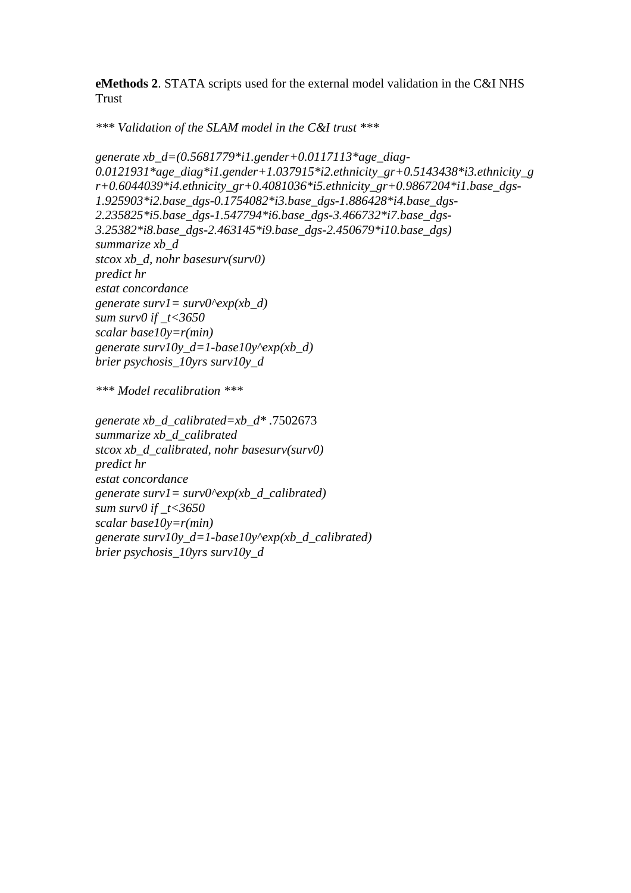**eMethods 2**. STATA scripts used for the external model validation in the C&I NHS Trust

*\*\*\* Validation of the SLAM model in the C&I trust \*\*\**

```
generate xb_d=(0.5681779*i1.gender+0.0117113*age_diag-
0.0121931*age_diag*i1.gender+1.037915*i2.ethnicity_gr+0.5143438*i3.ethnicity_g
r+0.6044039*i4.ethnicity_gr+0.4081036*i5.ethnicity_gr+0.9867204*i1.base_dgs-
1.925903*i2.base_dgs-0.1754082*i3.base_dgs-1.886428*i4.base_dgs-
2.235825*i5.base_dgs-1.547794*i6.base_dgs-3.466732*i7.base_dgs-
3.25382*i8.base_dgs-2.463145*i9.base_dgs-2.450679*i10.base_dgs)
summarize xb_d
stcox xb_d, nohr basesurv(surv0)
predict hr
estat concordance
generate surv1= surv0^exp(xb_d)
sum surv0 if _t<3650
scalar base10y=r(min)
generate surv10y_d=1-base10y^exp(xb_d)
brier psychosis_10yrs surv10y_d
```
*\*\*\* Model recalibration \*\*\**

*generate xb\_d\_calibrated=xb\_d\* .*7502673 *summarize xb\_d\_calibrated stcox xb\_d\_calibrated, nohr basesurv(surv0) predict hr estat concordance generate surv1= surv0^exp(xb\_d\_calibrated) sum surv0 if \_t<3650 scalar base10y=r(min) generate surv10y\_d=1-base10y^exp(xb\_d\_calibrated) brier psychosis\_10yrs surv10y\_d*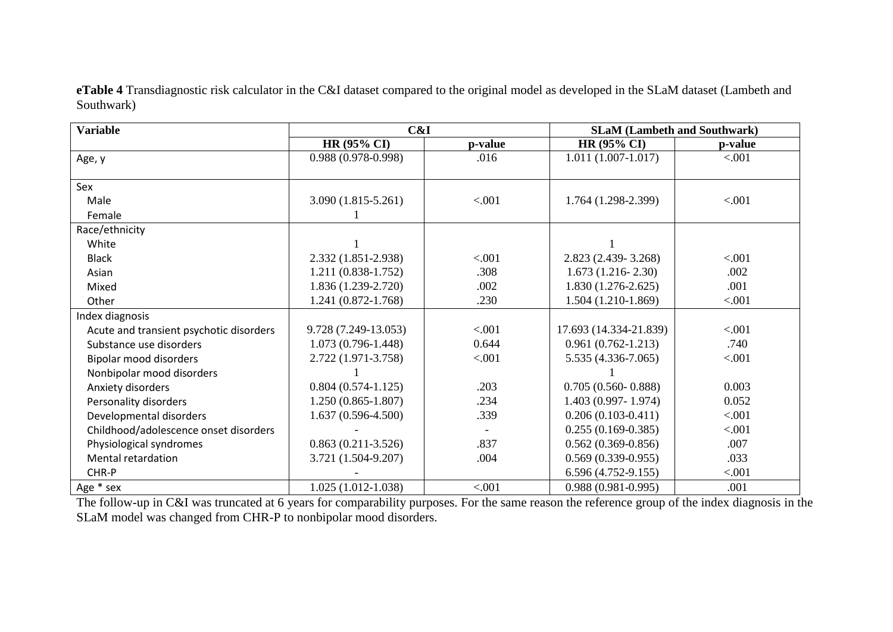**eTable 4** Transdiagnostic risk calculator in the C&I dataset compared to the original model as developed in the SLaM dataset (Lambeth and Southwark)

| <b>Variable</b>                         | C&I                    |         | <b>SLaM (Lambeth and Southwark)</b> |         |
|-----------------------------------------|------------------------|---------|-------------------------------------|---------|
|                                         | <b>HR (95% CI)</b>     | p-value | <b>HR (95% CI)</b>                  | p-value |
| Age, y                                  | $0.988(0.978-0.998)$   | .016    | $1.011(1.007-1.017)$                | < .001  |
|                                         |                        |         |                                     |         |
| Sex                                     |                        |         |                                     |         |
| Male                                    | $3.090(1.815 - 5.261)$ | < .001  | $1.764(1.298-2.399)$                | < .001  |
| Female                                  |                        |         |                                     |         |
| Race/ethnicity                          |                        |         |                                     |         |
| White                                   |                        |         |                                     |         |
| <b>Black</b>                            | 2.332 (1.851-2.938)    | < .001  | $2.823(2.439-3.268)$                | < .001  |
| Asian                                   | $1.211(0.838-1.752)$   | .308    | $1.673(1.216-2.30)$                 | .002    |
| Mixed                                   | $1.836(1.239-2.720)$   | .002    | $1.830(1.276-2.625)$                | .001    |
| Other                                   | $1.241(0.872 - 1.768)$ | .230    | 1.504 (1.210-1.869)                 | < .001  |
| Index diagnosis                         |                        |         |                                     |         |
| Acute and transient psychotic disorders | 9.728 (7.249-13.053)   | < .001  | 17.693 (14.334-21.839)              | < .001  |
| Substance use disorders                 | $1.073(0.796-1.448)$   | 0.644   | $0.961(0.762 - 1.213)$              | .740    |
| Bipolar mood disorders                  | 2.722 (1.971-3.758)    | < .001  | $5.535(4.336-7.065)$                | < .001  |
| Nonbipolar mood disorders               |                        |         |                                     |         |
| Anxiety disorders                       | $0.804(0.574-1.125)$   | .203    | $0.705(0.560 - 0.888)$              | 0.003   |
| Personality disorders                   | $1.250(0.865 - 1.807)$ | .234    | $1.403(0.997 - 1.974)$              | 0.052   |
| Developmental disorders                 | $1.637(0.596-4.500)$   | .339    | $0.206(0.103-0.411)$                | < .001  |
| Childhood/adolescence onset disorders   |                        |         | $0.255(0.169-0.385)$                | < .001  |
| Physiological syndromes                 | $0.863(0.211-3.526)$   | .837    | $0.562(0.369-0.856)$                | .007    |
| Mental retardation                      | 3.721 (1.504-9.207)    | .004    | $0.569(0.339-0.955)$                | .033    |
| CHR-P                                   |                        |         | $6.596(4.752-9.155)$                | < .001  |
| Age * sex                               | $1.025(1.012-1.038)$   | < .001  | $0.988(0.981 - 0.995)$              | .001    |

The follow-up in C&I was truncated at 6 years for comparability purposes. For the same reason the reference group of the index diagnosis in the SLaM model was changed from CHR-P to nonbipolar mood disorders.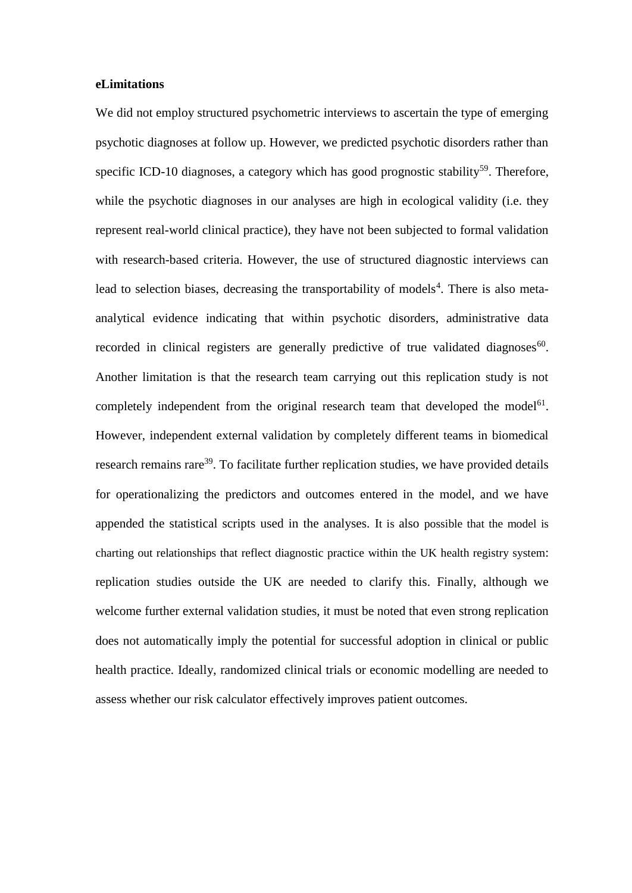## **eLimitations**

We did not employ structured psychometric interviews to ascertain the type of emerging psychotic diagnoses at follow up. However, we predicted psychotic disorders rather than specific ICD-10 diagnoses, a category which has good prognostic stability<sup>59</sup>. Therefore, while the psychotic diagnoses in our analyses are high in ecological validity (i.e. they represent real-world clinical practice), they have not been subjected to formal validation with research-based criteria. However, the use of structured diagnostic interviews can lead to selection biases, decreasing the transportability of models<sup>4</sup>. There is also metaanalytical evidence indicating that within psychotic disorders, administrative data recorded in clinical registers are generally predictive of true validated diagnoses $60$ . Another limitation is that the research team carrying out this replication study is not completely independent from the original research team that developed the model<sup>61</sup>. However, independent external validation by completely different teams in biomedical research remains rare<sup>39</sup>. To facilitate further replication studies, we have provided details for operationalizing the predictors and outcomes entered in the model, and we have appended the statistical scripts used in the analyses. It is also possible that the model is charting out relationships that reflect diagnostic practice within the UK health registry system: replication studies outside the UK are needed to clarify this. Finally, although we welcome further external validation studies, it must be noted that even strong replication does not automatically imply the potential for successful adoption in clinical or public health practice. Ideally, randomized clinical trials or economic modelling are needed to assess whether our risk calculator effectively improves patient outcomes.